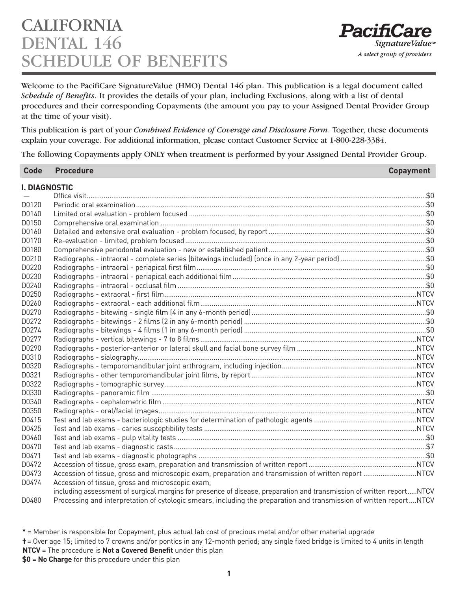## CALIFORNIA DENTAL 146 **IEDULE OF BENEFITS**

Welcome to the PacifiCare SignatureValue (HMO) Dental 146 plan. This publication is a legal document called *Schedule of Benefits*. It provides the details of your plan, including Exclusions, along with a list of dental procedures and their corresponding Copayments (the amount you pay to your Assigned Dental Provider Group at the time of your visit).

This publication is part of your *Combined Evidence of Coverage and Disclosure Form*. Together, these documents explain your coverage. For additional information, please contact Customer Service at 1-800-228-3384.

The following Copayments apply ONLY when treatment is performed by your Assigned Dental Provider Group.

| <b>Code</b> | <b>Procedure</b>                                                                                                     | <b>Copayment</b> |
|-------------|----------------------------------------------------------------------------------------------------------------------|------------------|
|             | <b>I. DIAGNOSTIC</b>                                                                                                 |                  |
|             |                                                                                                                      |                  |
| D0120       |                                                                                                                      |                  |
| D0140       |                                                                                                                      |                  |
| D0150       |                                                                                                                      |                  |
| D0160       |                                                                                                                      |                  |
| D0170       |                                                                                                                      |                  |
| D0180       |                                                                                                                      |                  |
| D0210       |                                                                                                                      |                  |
| D0220       |                                                                                                                      |                  |
| D0230       |                                                                                                                      |                  |
| D0240       |                                                                                                                      |                  |
| D0250       |                                                                                                                      |                  |
| D0260       |                                                                                                                      |                  |
| D0270       |                                                                                                                      |                  |
| D0272       |                                                                                                                      |                  |
| D0274       |                                                                                                                      |                  |
| D0277       |                                                                                                                      |                  |
| D0290       |                                                                                                                      |                  |
| D0310       |                                                                                                                      |                  |
| D0320       |                                                                                                                      |                  |
| D0321       |                                                                                                                      |                  |
| D0322       |                                                                                                                      |                  |
| D0330       |                                                                                                                      |                  |
| D0340       |                                                                                                                      |                  |
| D0350       |                                                                                                                      |                  |
| D0415       |                                                                                                                      |                  |
| D0425       |                                                                                                                      |                  |
| D0460       |                                                                                                                      |                  |
| D0470       |                                                                                                                      |                  |
| D0471       |                                                                                                                      |                  |
| D0472       |                                                                                                                      |                  |
| D0473       |                                                                                                                      |                  |
| D0474       | Accession of tissue, gross and microscopic exam,                                                                     |                  |
|             | including assessment of surgical margins for presence of disease, preparation and transmission of written reportNTCV |                  |

D0480 Processing and interpretation of cytologic smears, including the preparation and transmission of written report....NTCV

**\*** = Member is responsible for Copayment, plus actual lab cost of precious metal and/or other material upgrade

**†**= Over age 15; limited to 7 crowns and/or pontics in any 12-month period; any single fixed bridge is limited to 4 units in length **NTCV** = The procedure is **Not a Covered Benefit** under this plan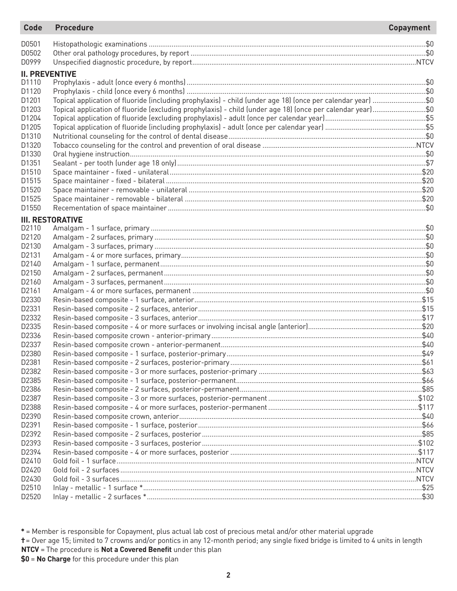| <b>Code</b>           | <b>Procedure</b>                                                                                            | <b>Copayment</b> |
|-----------------------|-------------------------------------------------------------------------------------------------------------|------------------|
| D0501                 |                                                                                                             |                  |
| D0502                 |                                                                                                             |                  |
| D0999                 |                                                                                                             |                  |
| <b>II. PREVENTIVE</b> |                                                                                                             |                  |
| D1110                 |                                                                                                             |                  |
| D1120                 |                                                                                                             |                  |
| D1201                 | Topical application of fluoride (including prophylaxis) - child (under age 18) (once per calendar year) \$0 |                  |
| D1203                 | Topical application of fluoride (excluding prophylaxis) - child (under age 18) (once per calendar year)\$0  |                  |
| D1204                 |                                                                                                             |                  |
| D1205                 |                                                                                                             |                  |
| D1310                 |                                                                                                             |                  |
| D1320                 |                                                                                                             |                  |
| D1330                 |                                                                                                             |                  |
| D1351                 |                                                                                                             |                  |
| D1510                 |                                                                                                             |                  |
| D1515                 |                                                                                                             |                  |
| D1520                 |                                                                                                             |                  |
| D1525                 |                                                                                                             |                  |
| D1550                 |                                                                                                             |                  |
|                       | <b>III. RESTORATIVE</b>                                                                                     |                  |
| D2110                 |                                                                                                             |                  |
| D2120                 |                                                                                                             |                  |
| D2130                 |                                                                                                             |                  |
| D2131                 |                                                                                                             |                  |
| D2140                 |                                                                                                             |                  |
| D2150                 |                                                                                                             |                  |
| D2160                 |                                                                                                             |                  |
| D2161                 |                                                                                                             |                  |
| D2330                 |                                                                                                             |                  |
| D2331                 |                                                                                                             |                  |
| D2332                 |                                                                                                             |                  |
| D2335                 |                                                                                                             |                  |
| D2336                 |                                                                                                             |                  |
| D2337                 |                                                                                                             |                  |
| D2380                 |                                                                                                             |                  |
| D2381                 |                                                                                                             |                  |
| D2382                 |                                                                                                             |                  |
| D2385                 |                                                                                                             |                  |
| D2386                 |                                                                                                             |                  |
| D2387                 |                                                                                                             |                  |
| D2388                 |                                                                                                             |                  |
| D2390                 |                                                                                                             |                  |
| D2391                 |                                                                                                             |                  |
| D2392                 |                                                                                                             |                  |
| D2393                 |                                                                                                             |                  |
| D2394                 |                                                                                                             |                  |
| D2410<br>D2420        |                                                                                                             |                  |
| D2430                 |                                                                                                             |                  |
| D2510                 |                                                                                                             |                  |
| D2520                 |                                                                                                             |                  |
|                       |                                                                                                             |                  |

**\*** = Member is responsible for Copayment, plus actual lab cost of precious metal and/or other material upgrade **†**= Over age 15; limited to 7 crowns and/or pontics in any 12-month period; any single fixed bridge is limited to 4 units in length **NTCV** = The procedure is **Not a Covered Benefit** under this plan **\$0** = **No Charge** for this procedure under this plan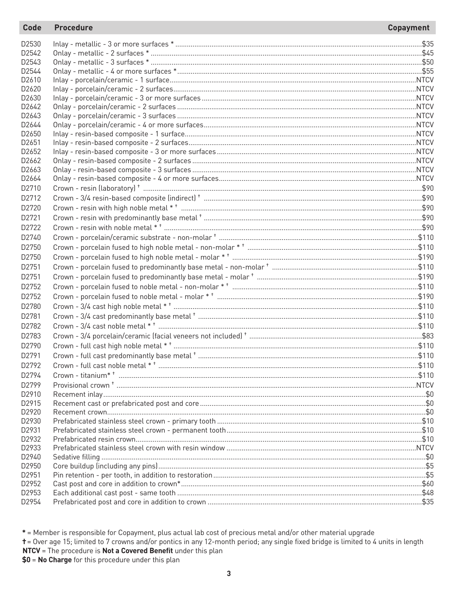| D2530             |  |
|-------------------|--|
| D <sub>2542</sub> |  |
| D2543             |  |
| D2544             |  |
| D2610             |  |
| D2620             |  |
| D2630             |  |
| D <sub>2642</sub> |  |
| D <sub>2643</sub> |  |
| D2644             |  |
| D <sub>2650</sub> |  |
| D <sub>2651</sub> |  |
| D <sub>2652</sub> |  |
| D <sub>2662</sub> |  |
| D <sub>2663</sub> |  |
| D2664             |  |
| D2710             |  |
| D <sub>2712</sub> |  |
| D2720             |  |
| D2721             |  |
| D2722             |  |
| D2740             |  |
| D2750             |  |
| D2750             |  |
| D2751             |  |
| D <sub>2751</sub> |  |
| D2752             |  |
| D2752             |  |
| D2780             |  |
| D2781             |  |
| D2782             |  |
|                   |  |
| D2783             |  |
| D <sub>2790</sub> |  |
| D <sub>2791</sub> |  |
| D2792             |  |
| D2794             |  |
| D2799             |  |
| D2910             |  |
| D2915             |  |
| D2920             |  |
| D2930             |  |
| D2931             |  |
| D2932             |  |
| D2933<br>D2940    |  |
| D2950             |  |
| D2951             |  |
| D2952             |  |
| D2953             |  |
| D2954             |  |
|                   |  |

\* = Member is responsible for Copayment, plus actual lab cost of precious metal and/or other material upgrade

+= Over age 15; limited to 7 crowns and/or pontics in any 12-month period; any single fixed bridge is limited to 4 units in length NTCV = The procedure is Not a Covered Benefit under this plan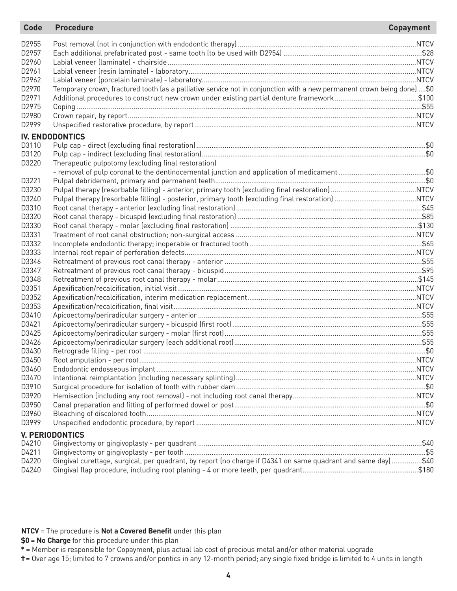| <b>Code</b>    | <b>Procedure</b>                                                                                                        | <b>Copayment</b> |
|----------------|-------------------------------------------------------------------------------------------------------------------------|------------------|
| D2955          |                                                                                                                         |                  |
| D2957          |                                                                                                                         |                  |
| D2960          |                                                                                                                         |                  |
| D2961          |                                                                                                                         |                  |
| D2962          |                                                                                                                         |                  |
| D2970          | Temporary crown, fractured tooth (as a palliative service not in conjunction with a new permanent crown being done) \$0 |                  |
| D2971          |                                                                                                                         |                  |
| D2975          |                                                                                                                         |                  |
| D2980          |                                                                                                                         |                  |
| D2999          |                                                                                                                         |                  |
|                | <b>IV. ENDODONTICS</b>                                                                                                  |                  |
| D3110          |                                                                                                                         |                  |
| D3120          |                                                                                                                         |                  |
| D3220          | Therapeutic pulpotomy (excluding final restoration)                                                                     |                  |
|                |                                                                                                                         |                  |
| D3221          |                                                                                                                         |                  |
| D3230          |                                                                                                                         |                  |
| D3240          |                                                                                                                         |                  |
| D3310          |                                                                                                                         |                  |
| D3320          |                                                                                                                         |                  |
| D3330          |                                                                                                                         |                  |
| D3331          |                                                                                                                         |                  |
| D3332          |                                                                                                                         |                  |
| D3333          |                                                                                                                         |                  |
| D3346          |                                                                                                                         |                  |
| D3347          |                                                                                                                         |                  |
| D3348          |                                                                                                                         |                  |
| D3351          |                                                                                                                         |                  |
| D3352          |                                                                                                                         |                  |
| D3353          |                                                                                                                         |                  |
| D3410          |                                                                                                                         |                  |
| D3421          |                                                                                                                         |                  |
| D3425          |                                                                                                                         |                  |
| D3426          |                                                                                                                         |                  |
| D3430          |                                                                                                                         |                  |
| D3450          |                                                                                                                         |                  |
| D3460<br>D3470 |                                                                                                                         |                  |
| D3910          |                                                                                                                         |                  |
| D3920          |                                                                                                                         |                  |
| D3950          |                                                                                                                         |                  |
| D3960          |                                                                                                                         |                  |
| D3999          |                                                                                                                         |                  |
|                |                                                                                                                         |                  |
| D4210          | <b>V. PERIODONTICS</b>                                                                                                  |                  |
| D4211          |                                                                                                                         |                  |
| D4220          | Gingival curettage, surgical, per quadrant, by report (no charge if D4341 on same quadrant and same day) \$40           |                  |
| D4240          |                                                                                                                         |                  |
|                |                                                                                                                         |                  |

#### **NTCV** = The procedure is **Not a Covered Benefit** under this plan

**\$0** = **No Charge** for this procedure under this plan

**\*** = Member is responsible for Copayment, plus actual lab cost of precious metal and/or other material upgrade

**†**= Over age 15; limited to 7 crowns and/or pontics in any 12-month period; any single fixed bridge is limited to 4 units in length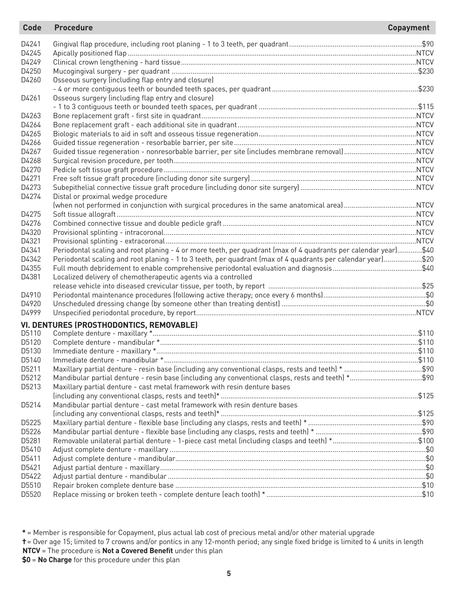| <b>Code</b> | <b>Procedure</b>                                                                                                | <b>Copayment</b> |
|-------------|-----------------------------------------------------------------------------------------------------------------|------------------|
| D4241       |                                                                                                                 |                  |
| D4245       |                                                                                                                 |                  |
| D4249       |                                                                                                                 |                  |
| D4250       |                                                                                                                 |                  |
| D4260       | Osseous surgery (including flap entry and closure)                                                              |                  |
|             |                                                                                                                 |                  |
| D4261       | Osseous surgery (including flap entry and closure)                                                              |                  |
|             |                                                                                                                 |                  |
| D4263       |                                                                                                                 |                  |
| D4264       |                                                                                                                 |                  |
| D4265       |                                                                                                                 |                  |
| D4266       |                                                                                                                 |                  |
| D4267       |                                                                                                                 |                  |
| D4268       |                                                                                                                 |                  |
| D4270       |                                                                                                                 |                  |
| D4271       |                                                                                                                 |                  |
| D4273       |                                                                                                                 |                  |
| D4274       | Distal or proximal wedge procedure                                                                              |                  |
|             |                                                                                                                 |                  |
| D4275       |                                                                                                                 |                  |
| D4276       |                                                                                                                 |                  |
| D4320       |                                                                                                                 |                  |
| D4321       |                                                                                                                 |                  |
| D4341       | Periodontal scaling and root planing - 4 or more teeth, per quadrant (max of 4 quadrants per calendar year)\$40 |                  |
| D4342       | Periodontal scaling and root planing - 1 to 3 teeth, per quadrant (max of 4 quadrants per calendar year)\$20    |                  |
| D4355       |                                                                                                                 |                  |
| D4381       | Localized delivery of chemotherapeutic agents via a controlled                                                  |                  |
|             |                                                                                                                 |                  |
| D4910       |                                                                                                                 |                  |
| D4920       |                                                                                                                 |                  |
| D4999       |                                                                                                                 |                  |
|             | VI. DENTURES (PROSTHODONTICS, REMOVABLE)                                                                        |                  |
| D5110       |                                                                                                                 |                  |
| D5120       |                                                                                                                 |                  |
| D5130       |                                                                                                                 |                  |
| D5140       |                                                                                                                 |                  |
| D5211       |                                                                                                                 |                  |
| D5212       | Mandibular partial denture - resin base (including any conventional clasps, rests and teeth) *\$90              |                  |
| D5213       | Maxillary partial denture - cast metal framework with resin denture bases                                       |                  |
|             |                                                                                                                 |                  |
| D5214       | Mandibular partial denture - cast metal framework with resin denture bases                                      |                  |
|             |                                                                                                                 |                  |
| D5225       |                                                                                                                 |                  |
| D5226       |                                                                                                                 |                  |
| D5281       |                                                                                                                 |                  |
| D5410       |                                                                                                                 |                  |
| D5411       |                                                                                                                 |                  |
| D5421       |                                                                                                                 |                  |
| D5422       |                                                                                                                 |                  |
| D5510       |                                                                                                                 |                  |
| D5520       |                                                                                                                 |                  |

**\*** = Member is responsible for Copayment, plus actual lab cost of precious metal and/or other material upgrade

**†**= Over age 15; limited to 7 crowns and/or pontics in any 12-month period; any single fixed bridge is limited to 4 units in length **NTCV** = The procedure is **Not a Covered Benefit** under this plan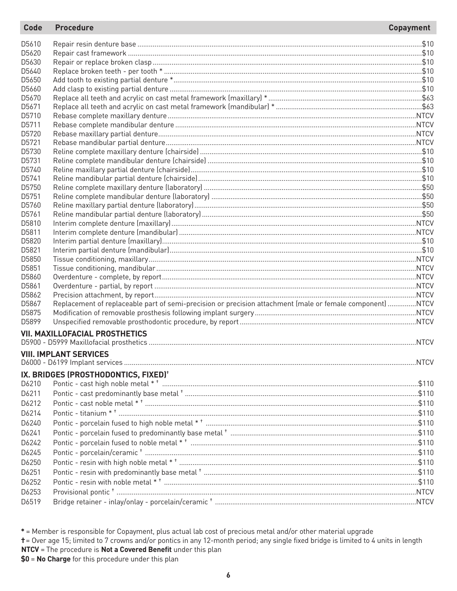#### **Code Procedure**

| D5610 |                                                                                                           |  |
|-------|-----------------------------------------------------------------------------------------------------------|--|
| D5620 |                                                                                                           |  |
| D5630 |                                                                                                           |  |
| D5640 |                                                                                                           |  |
| D5650 |                                                                                                           |  |
| D5660 |                                                                                                           |  |
| D5670 |                                                                                                           |  |
| D5671 |                                                                                                           |  |
| D5710 |                                                                                                           |  |
| D5711 |                                                                                                           |  |
| D5720 |                                                                                                           |  |
| D5721 |                                                                                                           |  |
| D5730 |                                                                                                           |  |
| D5731 |                                                                                                           |  |
| D5740 |                                                                                                           |  |
| D5741 |                                                                                                           |  |
| D5750 |                                                                                                           |  |
| D5751 |                                                                                                           |  |
| D5760 |                                                                                                           |  |
| D5761 |                                                                                                           |  |
| D5810 |                                                                                                           |  |
| D5811 |                                                                                                           |  |
| D5820 |                                                                                                           |  |
| D5821 |                                                                                                           |  |
| D5850 |                                                                                                           |  |
| D5851 |                                                                                                           |  |
| D5860 |                                                                                                           |  |
| D5861 |                                                                                                           |  |
| D5862 |                                                                                                           |  |
| D5867 | Replacement of replaceable part of semi-precision or precision attachment (male or female component) NTCV |  |
| D5875 |                                                                                                           |  |
| D5899 |                                                                                                           |  |
|       | <b>VII. MAXILLOFACIAL PROSTHETICS</b>                                                                     |  |
|       |                                                                                                           |  |
|       | <b>VIII. IMPLANT SERVICES</b>                                                                             |  |
|       | IX. BRIDGES (PROSTHODONTICS, FIXED) <sup>†</sup>                                                          |  |
| D6210 |                                                                                                           |  |
| D6211 |                                                                                                           |  |
|       |                                                                                                           |  |
| D6212 |                                                                                                           |  |
| D6214 |                                                                                                           |  |
| D6240 |                                                                                                           |  |
| D6241 |                                                                                                           |  |
| D6242 |                                                                                                           |  |
| D6245 |                                                                                                           |  |
| D6250 |                                                                                                           |  |
| D6251 |                                                                                                           |  |
| D6252 |                                                                                                           |  |
| D6253 |                                                                                                           |  |
| D6519 |                                                                                                           |  |
|       |                                                                                                           |  |

\* = Member is responsible for Copayment, plus actual lab cost of precious metal and/or other material upgrade

t = Over age 15; limited to 7 crowns and/or pontics in any 12-month period; any single fixed bridge is limited to 4 units in length NTCV = The procedure is Not a Covered Benefit under this plan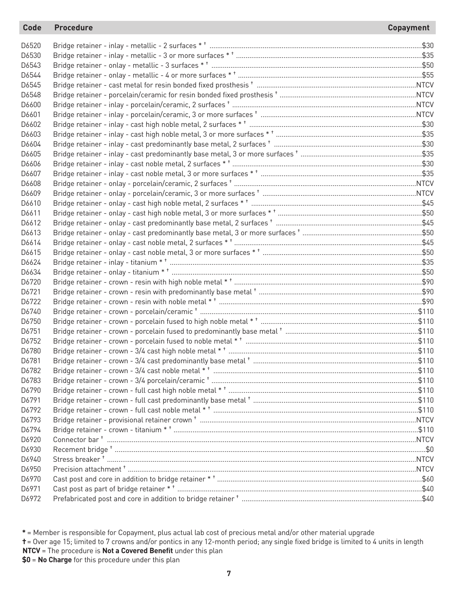## **Code Procedure Copayment**

| D6520 |  |
|-------|--|
| D6530 |  |
| D6543 |  |
| D6544 |  |
| D6545 |  |
| D6548 |  |
| D6600 |  |
| D6601 |  |
| D6602 |  |
| D6603 |  |
| D6604 |  |
| D6605 |  |
| D6606 |  |
| D6607 |  |
| D6608 |  |
| D6609 |  |
| D6610 |  |
| D6611 |  |
| D6612 |  |
| D6613 |  |
| D6614 |  |
| D6615 |  |
| D6624 |  |
| D6634 |  |
| D6720 |  |
| D6721 |  |
| D6722 |  |
| D6740 |  |
| D6750 |  |
| D6751 |  |
| D6752 |  |
| D6780 |  |
| D6781 |  |
| D6782 |  |
| D6783 |  |
| D6790 |  |
| D6791 |  |
| D6792 |  |
| D6793 |  |
| D6794 |  |
| D6920 |  |
| D6930 |  |
| D6940 |  |
| D6950 |  |
| D6970 |  |
| D6971 |  |
| D6972 |  |

**\*** = Member is responsible for Copayment, plus actual lab cost of precious metal and/or other material upgrade

**†**= Over age 15; limited to 7 crowns and/or pontics in any 12-month period; any single fixed bridge is limited to 4 units in length **NTCV** = The procedure is **Not a Covered Benefit** under this plan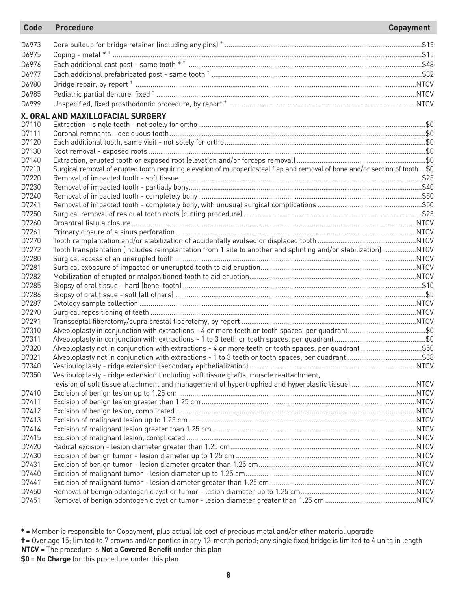| D6973<br>D6975<br>D6976<br>D6977<br>D6980<br>D6985<br>D6999<br>X. ORAL AND MAXILLOFACIAL SURGERY<br>D7110<br>D7111<br>D7120<br>D7130<br>D7140<br>Surgical removal of erupted tooth requiring elevation of mucoperiosteal flap and removal of bone and/or section of tooth\$0<br>D7210<br>D7220<br>D7230<br>D7240 |  |
|------------------------------------------------------------------------------------------------------------------------------------------------------------------------------------------------------------------------------------------------------------------------------------------------------------------|--|
|                                                                                                                                                                                                                                                                                                                  |  |
|                                                                                                                                                                                                                                                                                                                  |  |
|                                                                                                                                                                                                                                                                                                                  |  |
|                                                                                                                                                                                                                                                                                                                  |  |
|                                                                                                                                                                                                                                                                                                                  |  |
|                                                                                                                                                                                                                                                                                                                  |  |
|                                                                                                                                                                                                                                                                                                                  |  |
|                                                                                                                                                                                                                                                                                                                  |  |
|                                                                                                                                                                                                                                                                                                                  |  |
|                                                                                                                                                                                                                                                                                                                  |  |
|                                                                                                                                                                                                                                                                                                                  |  |
|                                                                                                                                                                                                                                                                                                                  |  |
|                                                                                                                                                                                                                                                                                                                  |  |
|                                                                                                                                                                                                                                                                                                                  |  |
|                                                                                                                                                                                                                                                                                                                  |  |
|                                                                                                                                                                                                                                                                                                                  |  |
|                                                                                                                                                                                                                                                                                                                  |  |
|                                                                                                                                                                                                                                                                                                                  |  |
| D7241                                                                                                                                                                                                                                                                                                            |  |
| D7250                                                                                                                                                                                                                                                                                                            |  |
| D7260                                                                                                                                                                                                                                                                                                            |  |
| D7261                                                                                                                                                                                                                                                                                                            |  |
| D7270                                                                                                                                                                                                                                                                                                            |  |
| Tooth transplantation (includes reimplantation from 1 site to another and splinting and/or stabilization)NTCV<br>D7272                                                                                                                                                                                           |  |
| D7280                                                                                                                                                                                                                                                                                                            |  |
| D7281                                                                                                                                                                                                                                                                                                            |  |
| D7282                                                                                                                                                                                                                                                                                                            |  |
| D7285                                                                                                                                                                                                                                                                                                            |  |
| D7286                                                                                                                                                                                                                                                                                                            |  |
| D7287                                                                                                                                                                                                                                                                                                            |  |
| D7290                                                                                                                                                                                                                                                                                                            |  |
| D7291                                                                                                                                                                                                                                                                                                            |  |
| D7310<br>Alveoloplasty in conjunction with extractions - 4 or more teeth or tooth spaces, per quadrant\$0                                                                                                                                                                                                        |  |
| D7311                                                                                                                                                                                                                                                                                                            |  |
| Alveoloplasty not in conjunction with extractions - 4 or more teeth or tooth spaces, per quadrant \$50<br>D7320                                                                                                                                                                                                  |  |
| D7321                                                                                                                                                                                                                                                                                                            |  |
| D7340                                                                                                                                                                                                                                                                                                            |  |
| Vestibuloplasty - ridge extension (including soft tissue grafts, muscle reattachment,<br>D7350                                                                                                                                                                                                                   |  |
|                                                                                                                                                                                                                                                                                                                  |  |
| D7410                                                                                                                                                                                                                                                                                                            |  |
| D7411                                                                                                                                                                                                                                                                                                            |  |
| D7412                                                                                                                                                                                                                                                                                                            |  |
| D7413                                                                                                                                                                                                                                                                                                            |  |
| D7414                                                                                                                                                                                                                                                                                                            |  |
| D7415                                                                                                                                                                                                                                                                                                            |  |
| D7420                                                                                                                                                                                                                                                                                                            |  |
| D7430                                                                                                                                                                                                                                                                                                            |  |
| D7431                                                                                                                                                                                                                                                                                                            |  |
| D7440                                                                                                                                                                                                                                                                                                            |  |
| D7441                                                                                                                                                                                                                                                                                                            |  |
| D7450                                                                                                                                                                                                                                                                                                            |  |
| D7451                                                                                                                                                                                                                                                                                                            |  |

**\*** = Member is responsible for Copayment, plus actual lab cost of precious metal and/or other material upgrade

**†**= Over age 15; limited to 7 crowns and/or pontics in any 12-month period; any single fixed bridge is limited to 4 units in length

**NTCV** = The procedure is **Not a Covered Benefit** under this plan **\$0** = **No Charge** for this procedure under this plan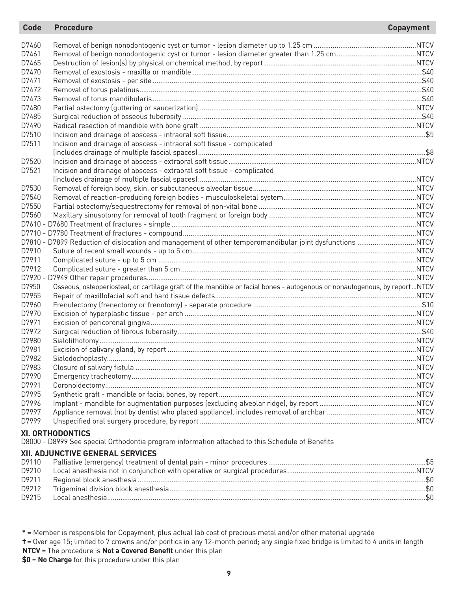#### D7460 Removal of benign nonodontogenic cyst or tumor - lesion diameter up to 1.25 cm ......................................................NTCV D7461 Removal of benign nonodontogenic cyst or tumor - lesion diameter greater than 1.25 cm..........................................NTCV D7465 Destruction of lesion(s) by physical or chemical method, by report ................................................................................NTCV D7470 Removal of exostosis - maxilla or mandible .........................................................................................................................\$40 D7471 Removal of exostosis - per site ..............................................................................................................................................\$40 D7472 Removal of torus palatinus.....................................................................................................................................................\$40 D7473 Removal of torus mandibularis..............................................................................................................................................\$40 D7480 Partial ostectomy (guttering or saucerization)...................................................................................................................NTCV D7485 Surgical reduction of osseous tuberosity ..............................................................................................................................\$40 D7490 Radical resection of mandible with bone graft ..................................................................................................................NTCV D7510 Incision and drainage of abscess - intraoral soft tissue.........................................................................................................\$5 Incision and drainage of abscess - intraoral soft tissue - complicated (includes drainage of multiple fascial spaces)........................................................................................................................\$8 D7520 Incision and drainage of abscess - extraoral soft tissue...................................................................................................NTCV D7521 Incision and drainage of abscess - extraoral soft tissue - complicated (includes drainage of multiple fascial spaces)...................................................................................................................NTCV D7530 Removal of foreign body, skin, or subcutaneous alveolar tissue......................................................................................NTCV D7540 Removal of reaction-producing foreign bodies - musculoskeletal system......................................................................NTCV D7550 Partial ostectomy/sequestrectomy for removal of non-vital bone ...................................................................................NTCV D7560 Maxillary sinusotomy for removal of tooth fragment or foreign body..............................................................................NTCV D7610 - D7680 Treatment of fractures - simple .................................................................................................................................NTCV D7710 - D7780 Treatment of fractures - compound...........................................................................................................................NTCV D7810 - D7899 Reduction of dislocation and management of other temporomandibular joint dysfunctions ...............................NTCV D7910 Suture of recent small wounds - up to 5 cm......................................................................................................................NTCV D7911 Complicated suture - up to 5 cm ........................................................................................................................................NTCV D7912 Complicated suture - greater than 5 cm............................................................................................................................NTCV D7920 - D7949 Other repair procedures..............................................................................................................................................NTCV D7950 Osseous, osteoperiosteal, or cartilage graft of the mandible or facial bones - autogenous or nonautogenous, by report...NTCV D7955 Repair of maxillofacial soft and hard tissue defects..........................................................................................................NTCV D7960 Frenulectomy (frenectomy or frenotomy) - separate procedure .........................................................................................\$10 D7970 Excision of hyperplastic tissue - per arch ..........................................................................................................................NTCV D7971 Excision of pericoronal gingiva............................................................................................................................................NTCV D7972 Surgical reduction of fibrous tuberosity.................................................................................................................................\$40 D7980 Sialolithotomy.......................................................................................................................................................................NTCV D7981 Excision of salivary gland, by report ...................................................................................................................................NTCV D7982 Sialodochoplasty...................................................................................................................................................................NTCV D7983 Closure of salivary fistula ....................................................................................................................................................NTCV D7990 Emergency tracheotomy......................................................................................................................................................NTCV D7991 Coronoidectomy....................................................................................................................................................................NTCV D7995 Synthetic graft - mandible or facial bones, by report........................................................................................................NTCV D7996 Implant - mandible for augmentation purposes (excluding alveolar ridge), by report ...................................................NTCV D7997 Appliance removal (not by dentist who placed appliance), includes removal of archbar ...............................................NTCV D7999 Unspecified oral surgery procedure, by report ..................................................................................................................NTCV **XI. ORTHODONTICS** D8000 - D8999 See special Orthodontia program information attached to this Schedule of Benefits **XII. ADJUNCTIVE GENERAL SERVICES Code Procedure Copayment**

| D9210 |  |
|-------|--|
| D9211 |  |
| D9212 |  |
|       |  |
|       |  |

**\*** = Member is responsible for Copayment, plus actual lab cost of precious metal and/or other material upgrade

**†**= Over age 15; limited to 7 crowns and/or pontics in any 12-month period; any single fixed bridge is limited to 4 units in length **NTCV** = The procedure is **Not a Covered Benefit** under this plan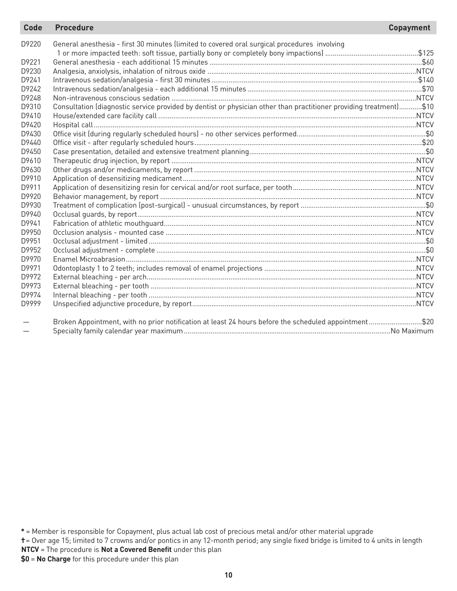| <b>Code</b> | <b>Procedure</b>                                                                                                   | <b>Copayment</b> |
|-------------|--------------------------------------------------------------------------------------------------------------------|------------------|
| D9220       | General anesthesia - first 30 minutes (limited to covered oral surgical procedures involving                       |                  |
|             |                                                                                                                    |                  |
| D9221       |                                                                                                                    |                  |
| D9230       |                                                                                                                    |                  |
| D9241       |                                                                                                                    |                  |
| D9242       |                                                                                                                    |                  |
| D9248       |                                                                                                                    |                  |
| D9310       | Consultation (diagnostic service provided by dentist or physician other than practitioner providing treatment)\$10 |                  |
| D9410       |                                                                                                                    |                  |
| D9420       |                                                                                                                    |                  |
| D9430       |                                                                                                                    |                  |
| D9440       |                                                                                                                    |                  |
| D9450       |                                                                                                                    |                  |
| D9610       |                                                                                                                    |                  |
| D9630       |                                                                                                                    |                  |
| D9910       |                                                                                                                    |                  |
| D9911       |                                                                                                                    |                  |
| D9920       |                                                                                                                    |                  |
| D9930       |                                                                                                                    |                  |
| D9940       |                                                                                                                    |                  |
| D9941       |                                                                                                                    |                  |
| D9950       |                                                                                                                    |                  |
| D9951       |                                                                                                                    |                  |
| D9952       |                                                                                                                    |                  |
| D9970       |                                                                                                                    |                  |
| D9971       |                                                                                                                    |                  |
| D9972       |                                                                                                                    |                  |
| D9973       |                                                                                                                    |                  |
| D9974       |                                                                                                                    |                  |
| D9999       |                                                                                                                    |                  |
|             | Broken Appointment, with no prior notification at least 24 hours before the scheduled appointment\$20              |                  |
|             |                                                                                                                    |                  |

**<sup>\*</sup>** = Member is responsible for Copayment, plus actual lab cost of precious metal and/or other material upgrade

**<sup>†</sup>**= Over age 15; limited to 7 crowns and/or pontics in any 12-month period; any single fixed bridge is limited to 4 units in length **NTCV** = The procedure is **Not a Covered Benefit** under this plan

**<sup>\$0</sup>** = **No Charge** for this procedure under this plan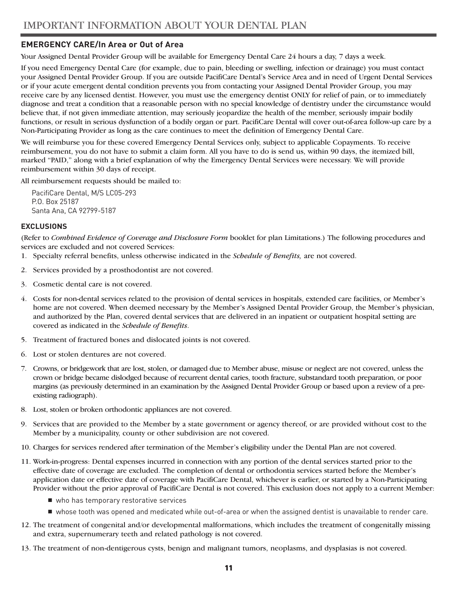## **EMERGENCY CARE/In Area or Out of Area**

Your Assigned Dental Provider Group will be available for Emergency Dental Care 24 hours a day, 7 days a week.

If you need Emergency Dental Care (for example, due to pain, bleeding or swelling, infection or drainage) you must contact your Assigned Dental Provider Group. If you are outside PacifiCare Dental's Service Area and in need of Urgent Dental Services or if your acute emergent dental condition prevents you from contacting your Assigned Dental Provider Group, you may receive care by any licensed dentist. However, you must use the emergency dentist ONLY for relief of pain, or to immediately diagnose and treat a condition that a reasonable person with no special knowledge of dentistry under the circumstance would believe that, if not given immediate attention, may seriously jeopardize the health of the member, seriously impair bodily functions, or result in serious dysfunction of a bodily organ or part. PacifiCare Dental will cover out-of-area follow-up care by a Non-Participating Provider as long as the care continues to meet the definition of Emergency Dental Care.

We will reimburse you for these covered Emergency Dental Services only, subject to applicable Copayments. To receive reimbursement, you do not have to submit a claim form. All you have to do is send us, within 90 days, the itemized bill, marked "PAID," along with a brief explanation of why the Emergency Dental Services were necessary. We will provide reimbursement within 30 days of receipt.

All reimbursement requests should be mailed to:

PacifiCare Dental, M/S LC05-293 P.O. Box 25187 Santa Ana, CA 92799-5187

#### **EXCLUSIONS**

(Refer to *Combined Evidence of Coverage and Disclosure Form* booklet for plan Limitations.) The following procedures and services are excluded and not covered Services:

- 1. Specialty referral benefits, unless otherwise indicated in the *Schedule of Benefits,* are not covered.
- 2. Services provided by a prosthodontist are not covered.
- 3. Cosmetic dental care is not covered.
- 4. Costs for non-dental services related to the provision of dental services in hospitals, extended care facilities, or Member's home are not covered. When deemed necessary by the Member's Assigned Dental Provider Group, the Member's physician, and authorized by the Plan, covered dental services that are delivered in an inpatient or outpatient hospital setting are covered as indicated in the *Schedule of Benefits*.
- 5. Treatment of fractured bones and dislocated joints is not covered.
- 6. Lost or stolen dentures are not covered.
- 7. Crowns, or bridgework that are lost, stolen, or damaged due to Member abuse, misuse or neglect are not covered, unless the crown or bridge became dislodged because of recurrent dental caries, tooth fracture, substandard tooth preparation, or poor margins (as previously determined in an examination by the Assigned Dental Provider Group or based upon a review of a preexisting radiograph).
- 8. Lost, stolen or broken orthodontic appliances are not covered.
- 9. Services that are provided to the Member by a state government or agency thereof, or are provided without cost to the Member by a municipality, county or other subdivision are not covered.
- 10. Charges for services rendered after termination of the Member's eligibility under the Dental Plan are not covered.
- 11. Work-in-progress: Dental expenses incurred in connection with any portion of the dental services started prior to the effective date of coverage are excluded. The completion of dental or orthodontia services started before the Member's application date or effective date of coverage with PacifiCare Dental, whichever is earlier, or started by a Non-Participating Provider without the prior approval of PacifiCare Dental is not covered. This exclusion does not apply to a current Member:
	- who has temporary restorative services
	- whose tooth was opened and medicated while out-of-area or when the assigned dentist is unavailable to render care.
- 12. The treatment of congenital and/or developmental malformations, which includes the treatment of congenitally missing and extra, supernumerary teeth and related pathology is not covered.
- 13. The treatment of non-dentigerous cysts, benign and malignant tumors, neoplasms, and dysplasias is not covered.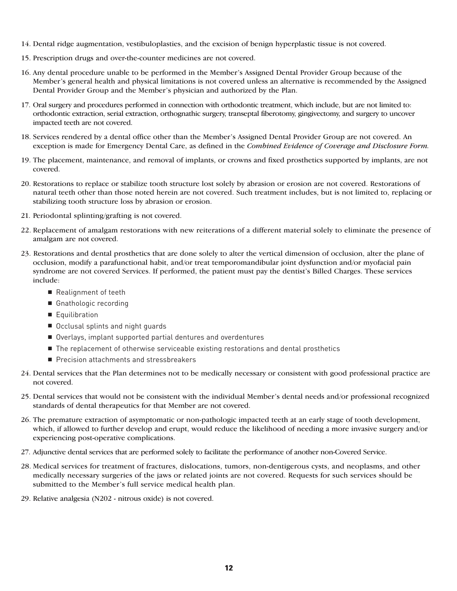- 14. Dental ridge augmentation, vestibuloplasties, and the excision of benign hyperplastic tissue is not covered.
- 15. Prescription drugs and over-the-counter medicines are not covered.
- 16. Any dental procedure unable to be performed in the Member's Assigned Dental Provider Group because of the Member's general health and physical limitations is not covered unless an alternative is recommended by the Assigned Dental Provider Group and the Member's physician and authorized by the Plan.
- 17. Oral surgery and procedures performed in connection with orthodontic treatment, which include, but are not limited to: orthodontic extraction, serial extraction, orthognathic surgery, transeptal fiberotomy, gingivectomy, and surgery to uncover impacted teeth are not covered.
- 18. Services rendered by a dental office other than the Member's Assigned Dental Provider Group are not covered. An exception is made for Emergency Dental Care, as defined in the *Combined Evidence of Coverage and Disclosure Form.*
- 19. The placement, maintenance, and removal of implants, or crowns and fixed prosthetics supported by implants, are not covered.
- 20. Restorations to replace or stabilize tooth structure lost solely by abrasion or erosion are not covered. Restorations of natural teeth other than those noted herein are not covered. Such treatment includes, but is not limited to, replacing or stabilizing tooth structure loss by abrasion or erosion.
- 21. Periodontal splinting/grafting is not covered.
- 22. Replacement of amalgam restorations with new reiterations of a different material solely to eliminate the presence of amalgam are not covered.
- 23. Restorations and dental prosthetics that are done solely to alter the vertical dimension of occlusion, alter the plane of occlusion, modify a parafunctional habit, and/or treat temporomandibular joint dysfunction and/or myofacial pain syndrome are not covered Services. If performed, the patient must pay the dentist's Billed Charges. These services include:
	- Realignment of teeth
	- Gnathologic recording
	- Equilibration
	- Occlusal splints and night quards
	- Overlays, implant supported partial dentures and overdentures
	- The replacement of otherwise serviceable existing restorations and dental prosthetics
	- Precision attachments and stressbreakers
- 24. Dental services that the Plan determines not to be medically necessary or consistent with good professional practice are not covered.
- 25. Dental services that would not be consistent with the individual Member's dental needs and/or professional recognized standards of dental therapeutics for that Member are not covered.
- 26. The premature extraction of asymptomatic or non-pathologic impacted teeth at an early stage of tooth development, which, if allowed to further develop and erupt, would reduce the likelihood of needing a more invasive surgery and/or experiencing post-operative complications.
- 27. Adjunctive dental services that are performed solely to facilitate the performance of another non-Covered Service.
- 28. Medical services for treatment of fractures, dislocations, tumors, non-dentigerous cysts, and neoplasms, and other medically necessary surgeries of the jaws or related joints are not covered. Requests for such services should be submitted to the Member's full service medical health plan.
- 29. Relative analgesia (N202 nitrous oxide) is not covered.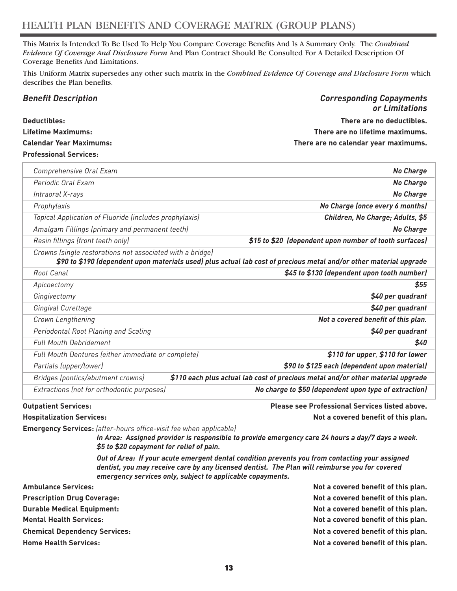This Matrix Is Intended To Be Used To Help You Compare Coverage Benefits And Is A Summary Only. The *Combined Evidence Of Coverage And Disclosure Form* And Plan Contract Should Be Consulted For A Detailed Description Of Coverage Benefits And Limitations.

This Uniform Matrix supersedes any other such matrix in the *Combined Evidence Of Coverage and Disclosure Form* which describes the Plan benefits.

| <b>Benefit Description</b>     | <b>Corresponding Copayments</b>      |
|--------------------------------|--------------------------------------|
|                                | or Limitations                       |
| Deductibles:                   | There are no deductibles.            |
| Lifetime Maximums:             | There are no lifetime maximums.      |
| <b>Calendar Year Maximums:</b> | There are no calendar year maximums. |
| <b>Professional Services:</b>  |                                      |

| Comprehensive Oral Exam                                   | <b>No Charge</b>                                                                                                   |
|-----------------------------------------------------------|--------------------------------------------------------------------------------------------------------------------|
| Periodic Oral Exam                                        | <b>No Charge</b>                                                                                                   |
| Intraoral X-rays                                          | <b>No Charge</b>                                                                                                   |
| Prophylaxis                                               | No Charge (once every 6 months)                                                                                    |
| Topical Application of Fluoride (includes prophylaxis)    | Children, No Charge; Adults, \$5                                                                                   |
| Amalgam Fillings (primary and permanent teeth)            | <b>No Charge</b>                                                                                                   |
| Resin fillings (front teeth only)                         | \$15 to \$20 (dependent upon number of tooth surfaces)                                                             |
| Crowns (single restorations not associated with a bridge) | \$90 to \$190 (dependent upon materials used) plus actual lab cost of precious metal and/or other material upgrade |
| Root Canal                                                | \$45 to \$130 (dependent upon tooth number)                                                                        |
| Apicoectomy                                               | \$55                                                                                                               |
| Gingivectomy                                              | \$40 per quadrant                                                                                                  |
| Gingival Curettage                                        | \$40 per quadrant                                                                                                  |
| Crown Lengthening                                         | Not a covered benefit of this plan.                                                                                |
| Periodontal Root Planing and Scaling                      | \$40 per quadrant                                                                                                  |
| <b>Full Mouth Debridement</b>                             | \$40                                                                                                               |
| Full Mouth Dentures (either immediate or complete)        | \$110 for upper, \$110 for lower                                                                                   |
| Partials (upper/lower)                                    | \$90 to \$125 each (dependent upon material)                                                                       |
| Bridges (pontics/abutment crowns)                         | \$110 each plus actual lab cost of precious metal and/or other material upgrade                                    |
| Extractions (not for orthodontic purposes)                | No charge to \$50 (dependent upon type of extraction)                                                              |

**Outpatient Services: Please see Professional Services listed above. Hospitalization Services: Not a covered benefit of this plan.**

**Emergency Services:** *(after-hours office-visit fee when applicable)*

*In Area: Assigned provider is responsible to provide emergency care 24 hours a day/7 days a week. \$5 to \$20 copayment for relief of pain.* 

*Out of Area: If your acute emergent dental condition prevents you from contacting your assigned dentist, you may receive care by any licensed dentist. The Plan will reimburse you for covered emergency services only, subject to applicable copayments.*

| <b>Ambulance Services:</b>           | Not a covered benefit of this plan. |  |
|--------------------------------------|-------------------------------------|--|
| <b>Prescription Drug Coverage:</b>   | Not a covered benefit of this plan. |  |
| <b>Durable Medical Equipment:</b>    | Not a covered benefit of this plan. |  |
| <b>Mental Health Services:</b>       | Not a covered benefit of this plan. |  |
| <b>Chemical Dependency Services:</b> | Not a covered benefit of this plan. |  |
| <b>Home Health Services:</b>         | Not a covered benefit of this plan. |  |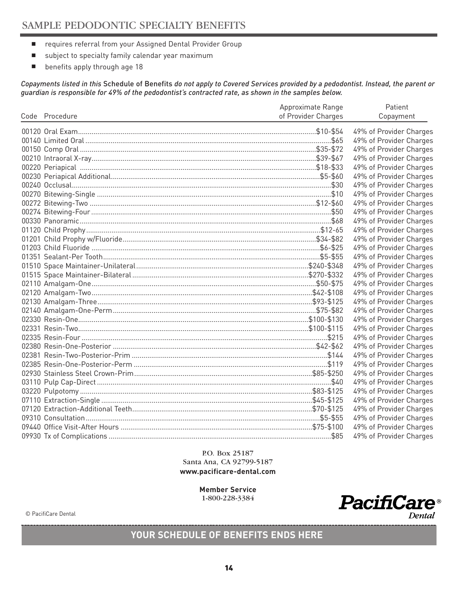- requires referral from your Assigned Dental Provider Group
- subject to specialty family calendar year maximum
- benefits apply through age 18

*Copayments listed in this* Schedule of Benefits *do not apply to Covered Services provided by a pedodontist. Instead, the parent or guardian is responsible for 49% of the pedodontist's contracted rate, as shown in the samples below.*

|                | Approximate Range   | Patient                 |
|----------------|---------------------|-------------------------|
| Code Procedure | of Provider Charges | Copayment               |
|                |                     |                         |
|                |                     | 49% of Provider Charges |
|                |                     | 49% of Provider Charges |
|                |                     | 49% of Provider Charges |
|                |                     | 49% of Provider Charges |
|                |                     | 49% of Provider Charges |
|                |                     | 49% of Provider Charges |
|                |                     | 49% of Provider Charges |
|                |                     | 49% of Provider Charges |
|                |                     | 49% of Provider Charges |
|                |                     | 49% of Provider Charges |
|                |                     | 49% of Provider Charges |
|                |                     | 49% of Provider Charges |
|                |                     | 49% of Provider Charges |
|                |                     | 49% of Provider Charges |
|                |                     | 49% of Provider Charges |
|                |                     | 49% of Provider Charges |
|                |                     | 49% of Provider Charges |
|                |                     | 49% of Provider Charges |
|                |                     | 49% of Provider Charges |
|                |                     | 49% of Provider Charges |
|                |                     | 49% of Provider Charges |
|                |                     | 49% of Provider Charges |
|                |                     | 49% of Provider Charges |
|                |                     | 49% of Provider Charges |
|                |                     | 49% of Provider Charges |
|                |                     | 49% of Provider Charges |
|                |                     | 49% of Provider Charges |
|                |                     | 49% of Provider Charges |
|                |                     | 49% of Provider Charges |
|                |                     | 49% of Provider Charges |
|                |                     | 49% of Provider Charges |
|                |                     | 49% of Provider Charges |
|                |                     | 49% of Provider Charges |
|                |                     | 49% of Provider Charges |
|                |                     | 49% of Provider Charges |

P.O. Box 25187 Santa Ana, CA 92799-5187 **www.pacificare-dental.com**

> **Member Service** 1-800-228-3384



**YOUR SCHEDULE OF BENEFITS ENDS HERE**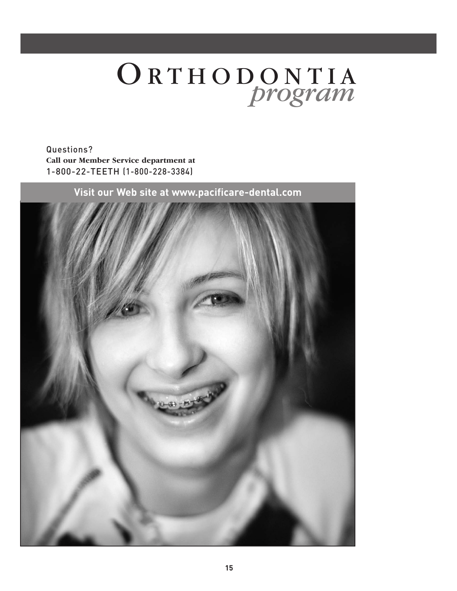# ORTHODONTIA *program*

Questions? **Call our Member Service department at** 1-800-22-TEETH (1-800-228-3384)

**Visit our Web site at www.pacificare-dental.com**